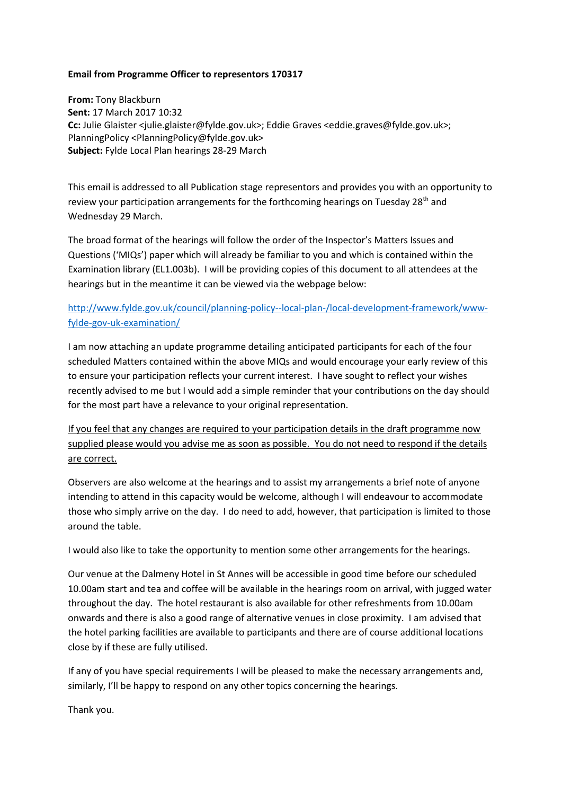## **Email from Programme Officer to representors 170317**

**From:** Tony Blackburn **Sent:** 17 March 2017 10:32 **Cc:** Julie Glaister <julie.glaister@fylde.gov.uk>; Eddie Graves <eddie.graves@fylde.gov.uk>; PlanningPolicy <PlanningPolicy@fylde.gov.uk> **Subject:** Fylde Local Plan hearings 28-29 March

This email is addressed to all Publication stage representors and provides you with an opportunity to review your participation arrangements for the forthcoming hearings on Tuesday  $28<sup>th</sup>$  and Wednesday 29 March.

The broad format of the hearings will follow the order of the Inspector's Matters Issues and Questions ('MIQs') paper which will already be familiar to you and which is contained within the Examination library (EL1.003b). I will be providing copies of this document to all attendees at the hearings but in the meantime it can be viewed via the webpage below:

## [http://www.fylde.gov.uk/council/planning-policy--local-plan-/local-development-framework/www](http://www.fylde.gov.uk/council/planning-policy--local-plan-/local-development-framework/www-fylde-gov-uk-examination/)[fylde-gov-uk-examination/](http://www.fylde.gov.uk/council/planning-policy--local-plan-/local-development-framework/www-fylde-gov-uk-examination/)

I am now attaching an update programme detailing anticipated participants for each of the four scheduled Matters contained within the above MIQs and would encourage your early review of this to ensure your participation reflects your current interest. I have sought to reflect your wishes recently advised to me but I would add a simple reminder that your contributions on the day should for the most part have a relevance to your original representation.

If you feel that any changes are required to your participation details in the draft programme now supplied please would you advise me as soon as possible. You do not need to respond if the details are correct.

Observers are also welcome at the hearings and to assist my arrangements a brief note of anyone intending to attend in this capacity would be welcome, although I will endeavour to accommodate those who simply arrive on the day. I do need to add, however, that participation is limited to those around the table.

I would also like to take the opportunity to mention some other arrangements for the hearings.

Our venue at the Dalmeny Hotel in St Annes will be accessible in good time before our scheduled 10.00am start and tea and coffee will be available in the hearings room on arrival, with jugged water throughout the day. The hotel restaurant is also available for other refreshments from 10.00am onwards and there is also a good range of alternative venues in close proximity. I am advised that the hotel parking facilities are available to participants and there are of course additional locations close by if these are fully utilised.

If any of you have special requirements I will be pleased to make the necessary arrangements and, similarly, I'll be happy to respond on any other topics concerning the hearings.

Thank you.